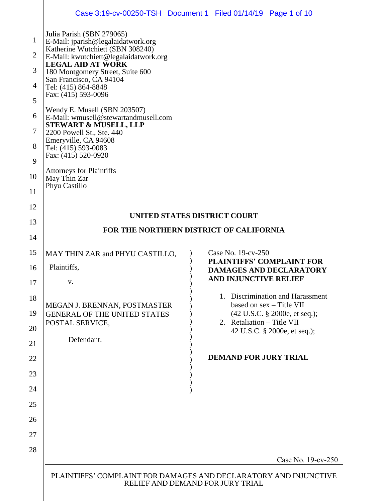|                |                                                                                                                                       | Case 3:19-cv-00250-TSH Document 1 Filed 01/14/19 Page 1 of 10 |  |  |
|----------------|---------------------------------------------------------------------------------------------------------------------------------------|---------------------------------------------------------------|--|--|
| 1              | Julia Parish (SBN 279065)<br>E-Mail: jparish@legalaidatwork.org                                                                       |                                                               |  |  |
| $\overline{2}$ | Katherine Wutchiett (SBN 308240)<br>E-Mail: kwutchiett@legalaidatwork.org                                                             |                                                               |  |  |
| 3              | <b>LEGAL AID AT WORK</b><br>180 Montgomery Street, Suite 600<br>San Francisco, CA 94104<br>Tel: (415) 864-8848                        |                                                               |  |  |
| 4              |                                                                                                                                       |                                                               |  |  |
| 5              | Fax: (415) 593-0096                                                                                                                   |                                                               |  |  |
| 6              | Wendy E. Musell (SBN 203507)<br>E-Mail: wmusell@stewartandmusell.com<br><b>STEWART &amp; MUSELL, LLP</b><br>2200 Powell St., Ste. 440 |                                                               |  |  |
| $\tau$         |                                                                                                                                       |                                                               |  |  |
| 8              | Emeryville, CA 94608<br>Tel: (415) 593-0083                                                                                           |                                                               |  |  |
| 9              | Fax: (415) 520-0920                                                                                                                   |                                                               |  |  |
| 10             | <b>Attorneys for Plaintiffs</b><br>May Thin Zar                                                                                       |                                                               |  |  |
| 11             | Phyu Castillo                                                                                                                         |                                                               |  |  |
| 12             |                                                                                                                                       |                                                               |  |  |
| 13             | UNITED STATES DISTRICT COURT<br>FOR THE NORTHERN DISTRICT OF CALIFORNIA                                                               |                                                               |  |  |
| 14             |                                                                                                                                       |                                                               |  |  |
| 15             | MAY THIN ZAR and PHYU CASTILLO,                                                                                                       | Case No. 19-cv-250<br><b>PLAINTIFFS' COMPLAINT FOR</b>        |  |  |
| 16             | Plaintiffs,                                                                                                                           | <b>DAMAGES AND DECLARATORY</b>                                |  |  |
| 17             | V.                                                                                                                                    | <b>AND INJUNCTIVE RELIEF</b>                                  |  |  |
| 18             | MEGAN J. BRENNAN, POSTMASTER                                                                                                          | 1. Discrimination and Harassment<br>based on sex - Title VII  |  |  |
| 19             | <b>GENERAL OF THE UNITED STATES</b><br>POSTAL SERVICE,                                                                                | (42 U.S.C. § 2000e, et seq.);<br>2. Retaliation – Title VII   |  |  |
| 20             | Defendant.                                                                                                                            | 42 U.S.C. § 2000e, et seq.);                                  |  |  |
| 21             |                                                                                                                                       |                                                               |  |  |
| 22             |                                                                                                                                       | <b>DEMAND FOR JURY TRIAL</b>                                  |  |  |
| 23             |                                                                                                                                       |                                                               |  |  |
| 24             |                                                                                                                                       |                                                               |  |  |
| 25             |                                                                                                                                       |                                                               |  |  |
| 26             |                                                                                                                                       |                                                               |  |  |
| 27             |                                                                                                                                       |                                                               |  |  |
| 28             |                                                                                                                                       | Case No. 19-cv-250                                            |  |  |
|                | PLAINTIFFS' COMPLAINT FOR DAMAGES AND DECLARATORY AND INJUNCTIVE<br>RELIEF AND DEMAND FOR JURY TRIAL                                  |                                                               |  |  |
|                |                                                                                                                                       |                                                               |  |  |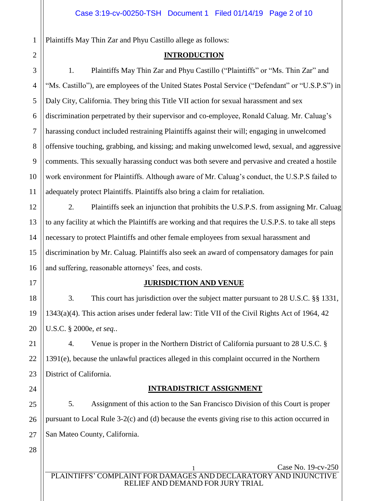Plaintiffs May Thin Zar and Phyu Castillo allege as follows:

### **INTRODUCTION**

3 4 5 6 7 8 9 10 11 1. Plaintiffs May Thin Zar and Phyu Castillo ("Plaintiffs" or "Ms. Thin Zar" and "Ms. Castillo"), are employees of the United States Postal Service ("Defendant" or "U.S.P.S") in Daly City, California. They bring this Title VII action for sexual harassment and sex discrimination perpetrated by their supervisor and co-employee, Ronald Caluag. Mr. Caluag's harassing conduct included restraining Plaintiffs against their will; engaging in unwelcomed offensive touching, grabbing, and kissing; and making unwelcomed lewd, sexual, and aggressive comments. This sexually harassing conduct was both severe and pervasive and created a hostile work environment for Plaintiffs. Although aware of Mr. Caluag's conduct, the U.S.P.S failed to adequately protect Plaintiffs. Plaintiffs also bring a claim for retaliation.

2. Plaintiffs seek an injunction that prohibits the U.S.P.S. from assigning Mr. Caluag to any facility at which the Plaintiffs are working and that requires the U.S.P.S. to take all steps necessary to protect Plaintiffs and other female employees from sexual harassment and discrimination by Mr. Caluag. Plaintiffs also seek an award of compensatory damages for pain and suffering, reasonable attorneys' fees, and costs.

### **JURISDICTION AND VENUE**

3. This court has jurisdiction over the subject matter pursuant to 28 U.S.C. §§ 1331, 1343(a)(4). This action arises under federal law: Title VII of the Civil Rights Act of 1964, 42 U.S.C. § 2000e, *et seq.*.

4. Venue is proper in the Northern District of California pursuant to 28 U.S.C. § 1391(e), because the unlawful practices alleged in this complaint occurred in the Northern District of California.

## **INTRADISTRICT ASSIGNMENT**

25 26 27 5. Assignment of this action to the San Francisco Division of this Court is proper pursuant to Local Rule 3-2(c) and (d) because the events giving rise to this action occurred in San Mateo County, California.

28

1

2

12

13

14

15

16

17

18

19

20

21

22

23

24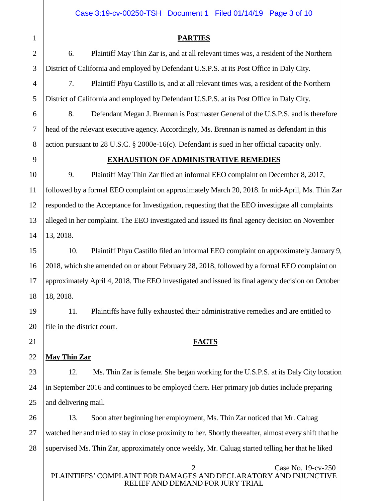### Case 3:19-cv-00250-TSH Document 1 Filed 01/14/19 Page 3 of 10

### **PARTIES**

6. Plaintiff May Thin Zar is, and at all relevant times was, a resident of the Northern District of California and employed by Defendant U.S.P.S. at its Post Office in Daly City.

7. Plaintiff Phyu Castillo is, and at all relevant times was, a resident of the Northern District of California and employed by Defendant U.S.P.S. at its Post Office in Daly City.

8. Defendant Megan J. Brennan is Postmaster General of the U.S.P.S. and is therefore head of the relevant executive agency. Accordingly, Ms. Brennan is named as defendant in this action pursuant to 28 U.S.C. § 2000e-16(c). Defendant is sued in her official capacity only.

### **EXHAUSTION OF ADMINISTRATIVE REMEDIES**

10 12 13 14 9. Plaintiff May Thin Zar filed an informal EEO complaint on December 8, 2017, followed by a formal EEO complaint on approximately March 20, 2018. In mid-April, Ms. Thin Zar responded to the Acceptance for Investigation, requesting that the EEO investigate all complaints alleged in her complaint. The EEO investigated and issued its final agency decision on November 13, 2018.

# 10. Plaintiff Phyu Castillo filed an informal EEO complaint on approximately January 9, 2018, which she amended on or about February 28, 2018, followed by a formal EEO complaint on approximately April 4, 2018. The EEO investigated and issued its final agency decision on October 18, 2018.

11. Plaintiffs have fully exhausted their administrative remedies and are entitled to file in the district court.

### **FACTS**

### 22 **May Thin Zar**

12. Ms. Thin Zar is female. She began working for the U.S.P.S. at its Daly City location in September 2016 and continues to be employed there. Her primary job duties include preparing and delivering mail.

28 13. Soon after beginning her employment, Ms. Thin Zar noticed that Mr. Caluag watched her and tried to stay in close proximity to her. Shortly thereafter, almost every shift that he supervised Ms. Thin Zar, approximately once weekly, Mr. Caluag started telling her that he liked

Case No. 19-cv-250 PLAINTIFFS' COMPLAINT FOR DAMAGES AND DECLARATORY AND INJUNCTIVE RELIEF AND DEMAND FOR JURY TRIAL

8

9

11

15

16

17

18

19

20

21

23

24

25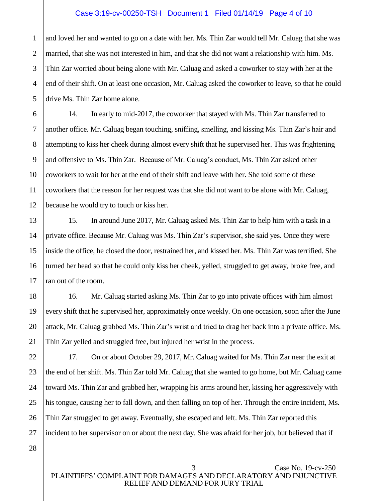### Case 3:19-cv-00250-TSH Document 1 Filed 01/14/19 Page 4 of 10

1 2 3 4 5 and loved her and wanted to go on a date with her. Ms. Thin Zar would tell Mr. Caluag that she was married, that she was not interested in him, and that she did not want a relationship with him. Ms. Thin Zar worried about being alone with Mr. Caluag and asked a coworker to stay with her at the end of their shift. On at least one occasion, Mr. Caluag asked the coworker to leave, so that he could drive Ms. Thin Zar home alone.

14. In early to mid-2017, the coworker that stayed with Ms. Thin Zar transferred to another office. Mr. Caluag began touching, sniffing, smelling, and kissing Ms. Thin Zar's hair and attempting to kiss her cheek during almost every shift that he supervised her. This was frightening and offensive to Ms. Thin Zar. Because of Mr. Caluag's conduct, Ms. Thin Zar asked other coworkers to wait for her at the end of their shift and leave with her. She told some of these coworkers that the reason for her request was that she did not want to be alone with Mr. Caluag, because he would try to touch or kiss her.

15. In around June 2017, Mr. Caluag asked Ms. Thin Zar to help him with a task in a private office. Because Mr. Caluag was Ms. Thin Zar's supervisor, she said yes. Once they were inside the office, he closed the door, restrained her, and kissed her. Ms. Thin Zar was terrified. She turned her head so that he could only kiss her cheek, yelled, struggled to get away, broke free, and ran out of the room.

16. Mr. Caluag started asking Ms. Thin Zar to go into private offices with him almost every shift that he supervised her, approximately once weekly. On one occasion, soon after the June attack, Mr. Caluag grabbed Ms. Thin Zar's wrist and tried to drag her back into a private office. Ms. Thin Zar yelled and struggled free, but injured her wrist in the process.

17. On or about October 29, 2017, Mr. Caluag waited for Ms. Thin Zar near the exit at the end of her shift. Ms. Thin Zar told Mr. Caluag that she wanted to go home, but Mr. Caluag came toward Ms. Thin Zar and grabbed her, wrapping his arms around her, kissing her aggressively with his tongue, causing her to fall down, and then falling on top of her. Through the entire incident, Ms. Thin Zar struggled to get away. Eventually, she escaped and left. Ms. Thin Zar reported this incident to her supervisor on or about the next day. She was afraid for her job, but believed that if

6

7

8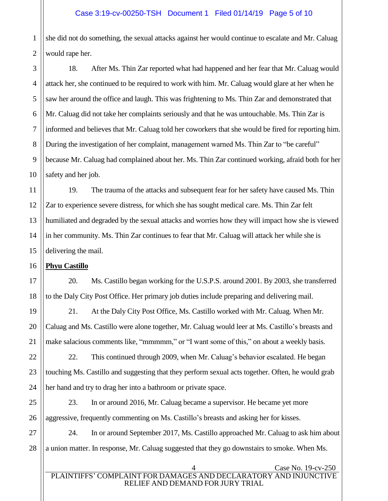### Case 3:19-cv-00250-TSH Document 1 Filed 01/14/19 Page 5 of 10

1 2 she did not do something, the sexual attacks against her would continue to escalate and Mr. Caluag would rape her.

18. After Ms. Thin Zar reported what had happened and her fear that Mr. Caluag would attack her, she continued to be required to work with him. Mr. Caluag would glare at her when he saw her around the office and laugh. This was frightening to Ms. Thin Zar and demonstrated that Mr. Caluag did not take her complaints seriously and that he was untouchable. Ms. Thin Zar is informed and believes that Mr. Caluag told her coworkers that she would be fired for reporting him. During the investigation of her complaint, management warned Ms. Thin Zar to "be careful" because Mr. Caluag had complained about her. Ms. Thin Zar continued working, afraid both for her safety and her job.

19. The trauma of the attacks and subsequent fear for her safety have caused Ms. Thin Zar to experience severe distress, for which she has sought medical care. Ms. Thin Zar felt humiliated and degraded by the sexual attacks and worries how they will impact how she is viewed in her community. Ms. Thin Zar continues to fear that Mr. Caluag will attack her while she is delivering the mail.

### **Phyu Castillo**

20. Ms. Castillo began working for the U.S.P.S. around 2001. By 2003, she transferred to the Daly City Post Office. Her primary job duties include preparing and delivering mail.

21. At the Daly City Post Office, Ms. Castillo worked with Mr. Caluag. When Mr. Caluag and Ms. Castillo were alone together, Mr. Caluag would leer at Ms. Castillo's breasts and make salacious comments like, "mmmmm," or "I want some of this," on about a weekly basis.

22. This continued through 2009, when Mr. Caluag's behavior escalated. He began touching Ms. Castillo and suggesting that they perform sexual acts together. Often, he would grab her hand and try to drag her into a bathroom or private space.

23. In or around 2016, Mr. Caluag became a supervisor. He became yet more aggressive, frequently commenting on Ms. Castillo's breasts and asking her for kisses.

24. In or around September 2017, Ms. Castillo approached Mr. Caluag to ask him about a union matter. In response, Mr. Caluag suggested that they go downstairs to smoke. When Ms.

### Case No. 19-cv-250 PLAINTIFFS' COMPLAINT FOR DAMAGES AND DECLARATORY AND INJUNCTIVE RELIEF AND DEMAND FOR JURY TRIAL

3

4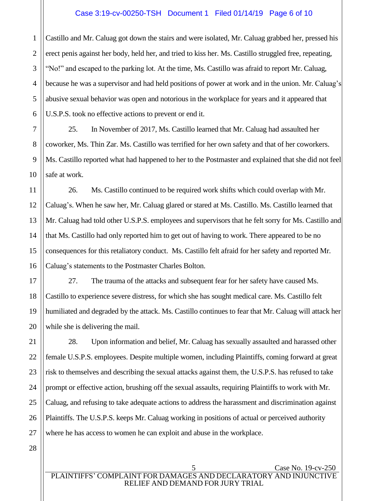### Case 3:19-cv-00250-TSH Document 1 Filed 01/14/19 Page 6 of 10

1 2 3 4 5 6 Castillo and Mr. Caluag got down the stairs and were isolated, Mr. Caluag grabbed her, pressed his erect penis against her body, held her, and tried to kiss her. Ms. Castillo struggled free, repeating, "No!" and escaped to the parking lot. At the time, Ms. Castillo was afraid to report Mr. Caluag, because he was a supervisor and had held positions of power at work and in the union. Mr. Caluag's abusive sexual behavior was open and notorious in the workplace for years and it appeared that U.S.P.S. took no effective actions to prevent or end it.

7 25. In November of 2017, Ms. Castillo learned that Mr. Caluag had assaulted her coworker, Ms. Thin Zar. Ms. Castillo was terrified for her own safety and that of her coworkers. Ms. Castillo reported what had happened to her to the Postmaster and explained that she did not feel safe at work.

26. Ms. Castillo continued to be required work shifts which could overlap with Mr. Caluag's. When he saw her, Mr. Caluag glared or stared at Ms. Castillo. Ms. Castillo learned that Mr. Caluag had told other U.S.P.S. employees and supervisors that he felt sorry for Ms. Castillo and that Ms. Castillo had only reported him to get out of having to work. There appeared to be no consequences for this retaliatory conduct. Ms. Castillo felt afraid for her safety and reported Mr. Caluag's statements to the Postmaster Charles Bolton.

27. The trauma of the attacks and subsequent fear for her safety have caused Ms. Castillo to experience severe distress, for which she has sought medical care. Ms. Castillo felt humiliated and degraded by the attack. Ms. Castillo continues to fear that Mr. Caluag will attack her while she is delivering the mail.

28. Upon information and belief, Mr. Caluag has sexually assaulted and harassed other female U.S.P.S. employees. Despite multiple women, including Plaintiffs, coming forward at great risk to themselves and describing the sexual attacks against them, the U.S.P.S. has refused to take prompt or effective action, brushing off the sexual assaults, requiring Plaintiffs to work with Mr. Caluag, and refusing to take adequate actions to address the harassment and discrimination against Plaintiffs. The U.S.P.S. keeps Mr. Caluag working in positions of actual or perceived authority where he has access to women he can exploit and abuse in the workplace.

28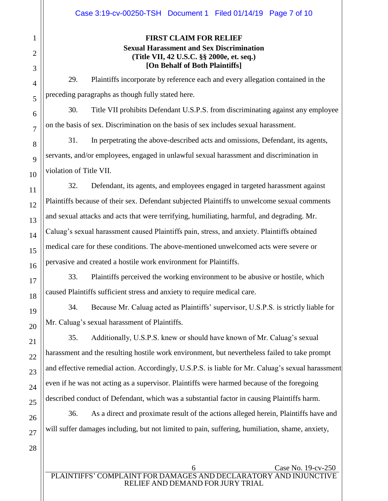### **FIRST CLAIM FOR RELIEF Sexual Harassment and Sex Discrimination (Title VII, 42 U.S.C. §§ 2000e, et. seq.) [On Behalf of Both Plaintiffs]**

29. Plaintiffs incorporate by reference each and every allegation contained in the preceding paragraphs as though fully stated here.

30. Title VII prohibits Defendant U.S.P.S. from discriminating against any employee on the basis of sex. Discrimination on the basis of sex includes sexual harassment.

31. In perpetrating the above-described acts and omissions, Defendant, its agents, servants, and/or employees, engaged in unlawful sexual harassment and discrimination in violation of Title VII.

32. Defendant, its agents, and employees engaged in targeted harassment against Plaintiffs because of their sex. Defendant subjected Plaintiffs to unwelcome sexual comments and sexual attacks and acts that were terrifying, humiliating, harmful, and degrading. Mr. Caluag's sexual harassment caused Plaintiffs pain, stress, and anxiety. Plaintiffs obtained medical care for these conditions. The above-mentioned unwelcomed acts were severe or pervasive and created a hostile work environment for Plaintiffs.

33. Plaintiffs perceived the working environment to be abusive or hostile, which caused Plaintiffs sufficient stress and anxiety to require medical care.

34. Because Mr. Caluag acted as Plaintiffs' supervisor, U.S.P.S. is strictly liable for Mr. Caluag's sexual harassment of Plaintiffs.

35. Additionally, U.S.P.S. knew or should have known of Mr. Caluag's sexual harassment and the resulting hostile work environment, but nevertheless failed to take prompt and effective remedial action. Accordingly, U.S.P.S. is liable for Mr. Caluag's sexual harassment even if he was not acting as a supervisor. Plaintiffs were harmed because of the foregoing described conduct of Defendant, which was a substantial factor in causing Plaintiffs harm.

36. As a direct and proximate result of the actions alleged herein, Plaintiffs have and will suffer damages including, but not limited to pain, suffering, humiliation, shame, anxiety,

1

2

3

4

5

6

7

8

9

10

11

12

13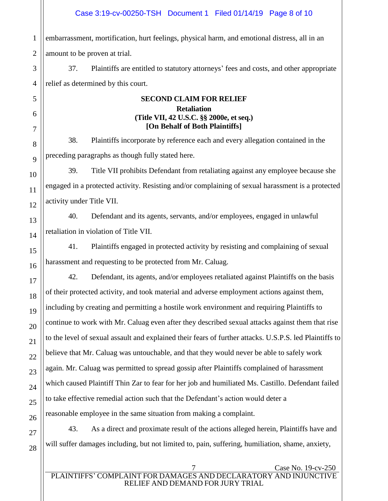1 embarrassment, mortification, hurt feelings, physical harm, and emotional distress, all in an amount to be proven at trial.

37. Plaintiffs are entitled to statutory attorneys' fees and costs, and other appropriate relief as determined by this court.

### **SECOND CLAIM FOR RELIEF Retaliation (Title VII, 42 U.S.C. §§ 2000e, et seq.) [On Behalf of Both Plaintiffs]**

38. Plaintiffs incorporate by reference each and every allegation contained in the preceding paragraphs as though fully stated here.

39. Title VII prohibits Defendant from retaliating against any employee because she engaged in a protected activity. Resisting and/or complaining of sexual harassment is a protected activity under Title VII.

40. Defendant and its agents, servants, and/or employees, engaged in unlawful retaliation in violation of Title VII.

41. Plaintiffs engaged in protected activity by resisting and complaining of sexual harassment and requesting to be protected from Mr. Caluag.

42. Defendant, its agents, and/or employees retaliated against Plaintiffs on the basis of their protected activity, and took material and adverse employment actions against them, including by creating and permitting a hostile work environment and requiring Plaintiffs to continue to work with Mr. Caluag even after they described sexual attacks against them that rise to the level of sexual assault and explained their fears of further attacks. U.S.P.S. led Plaintiffs to believe that Mr. Caluag was untouchable, and that they would never be able to safely work again. Mr. Caluag was permitted to spread gossip after Plaintiffs complained of harassment which caused Plaintiff Thin Zar to fear for her job and humiliated Ms. Castillo. Defendant failed to take effective remedial action such that the Defendant's action would deter a reasonable employee in the same situation from making a complaint.

43. As a direct and proximate result of the actions alleged herein, Plaintiffs have and will suffer damages including, but not limited to, pain, suffering, humiliation, shame, anxiety,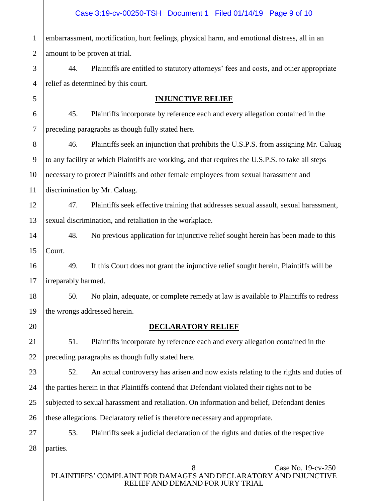1 2 embarrassment, mortification, hurt feelings, physical harm, and emotional distress, all in an amount to be proven at trial.

3 4 44. Plaintiffs are entitled to statutory attorneys' fees and costs, and other appropriate relief as determined by this court.

### **INJUNCTIVE RELIEF**

6 7 45. Plaintiffs incorporate by reference each and every allegation contained in the preceding paragraphs as though fully stated here.

46. Plaintiffs seek an injunction that prohibits the U.S.P.S. from assigning Mr. Caluag to any facility at which Plaintiffs are working, and that requires the U.S.P.S. to take all steps necessary to protect Plaintiffs and other female employees from sexual harassment and discrimination by Mr. Caluag.

12 13 47. Plaintiffs seek effective training that addresses sexual assault, sexual harassment, sexual discrimination, and retaliation in the workplace.

14 15 48. No previous application for injunctive relief sought herein has been made to this Court.

16 17 49. If this Court does not grant the injunctive relief sought herein, Plaintiffs will be irreparably harmed.

18 19 50. No plain, adequate, or complete remedy at law is available to Plaintiffs to redress the wrongs addressed herein.

20

21

22

5

8

9

10

11

## **DECLARATORY RELIEF**

51. Plaintiffs incorporate by reference each and every allegation contained in the preceding paragraphs as though fully stated here.

23 24 25 26 52. An actual controversy has arisen and now exists relating to the rights and duties of the parties herein in that Plaintiffs contend that Defendant violated their rights not to be subjected to sexual harassment and retaliation. On information and belief, Defendant denies these allegations. Declaratory relief is therefore necessary and appropriate.

27 28 53. Plaintiffs seek a judicial declaration of the rights and duties of the respective parties.